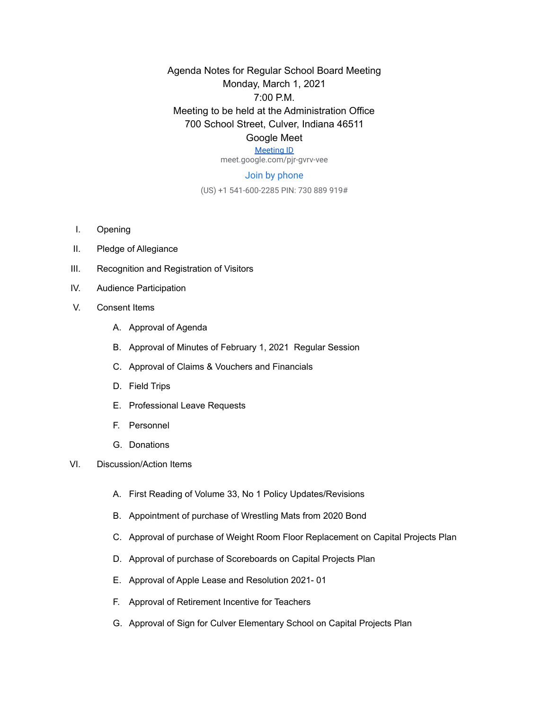Agenda Notes for Regular School Board Meeting Monday, March 1, 2021 7:00 P.M. Meeting to be held at the Administration Office 700 School Street, Culver, Indiana 46511 Google Meet

## [Meeting ID](https://meet.google.com/pjr-gvrv-vee)

meet.google.com/pjr-gvrv-vee

## Join by phone

(US) +1 541-600-2285 PIN: 730 889 919#

- I. Opening
- II. Pledge of Allegiance
- III. Recognition and Registration of Visitors
- IV. Audience Participation
- V. Consent Items
	- A. Approval of Agenda
	- B. Approval of Minutes of February 1, 2021 Regular Session
	- C. Approval of Claims & Vouchers and Financials
	- D. Field Trips
	- E. Professional Leave Requests
	- F. Personnel
	- G. Donations
- VI. Discussion/Action Items
	- A. First Reading of Volume 33, No 1 Policy Updates/Revisions
	- B. Appointment of purchase of Wrestling Mats from 2020 Bond
	- C. Approval of purchase of Weight Room Floor Replacement on Capital Projects Plan
	- D. Approval of purchase of Scoreboards on Capital Projects Plan
	- E. Approval of Apple Lease and Resolution 2021- 01
	- F. Approval of Retirement Incentive for Teachers
	- G. Approval of Sign for Culver Elementary School on Capital Projects Plan